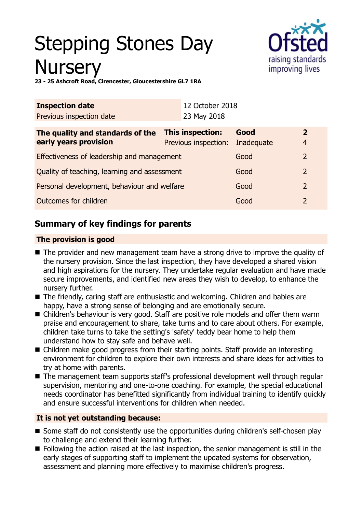# Stepping Stones Day **Nurserv**



**23 - 25 Ashcroft Road, Cirencester, Gloucestershire GL7 1RA**

| <b>Inspection date</b>                       |             | 12 October 2018      |              |  |
|----------------------------------------------|-------------|----------------------|--------------|--|
|                                              | 23 May 2018 |                      |              |  |
| This inspection:                             |             | Good                 | $\mathbf{2}$ |  |
|                                              |             | Inadequate           | 4            |  |
| Effectiveness of leadership and management   |             | Good                 | 2            |  |
| Quality of teaching, learning and assessment |             | Good                 | 2            |  |
| Personal development, behaviour and welfare  |             | Good                 | 2            |  |
| Outcomes for children                        |             | Good                 |              |  |
|                                              |             | Previous inspection: |              |  |

# **Summary of key findings for parents**

## **The provision is good**

- The provider and new management team have a strong drive to improve the quality of the nursery provision. Since the last inspection, they have developed a shared vision and high aspirations for the nursery. They undertake regular evaluation and have made secure improvements, and identified new areas they wish to develop, to enhance the nursery further.
- The friendly, caring staff are enthusiastic and welcoming. Children and babies are happy, have a strong sense of belonging and are emotionally secure.
- Children's behaviour is very good. Staff are positive role models and offer them warm praise and encouragement to share, take turns and to care about others. For example, children take turns to take the setting's 'safety' teddy bear home to help them understand how to stay safe and behave well.
- Children make good progress from their starting points. Staff provide an interesting environment for children to explore their own interests and share ideas for activities to try at home with parents.
- The management team supports staff's professional development well through regular supervision, mentoring and one-to-one coaching. For example, the special educational needs coordinator has benefitted significantly from individual training to identify quickly and ensure successful interventions for children when needed.

# **It is not yet outstanding because:**

- Some staff do not consistently use the opportunities during children's self-chosen play to challenge and extend their learning further.
- $\blacksquare$  Following the action raised at the last inspection, the senior management is still in the early stages of supporting staff to implement the updated systems for observation, assessment and planning more effectively to maximise children's progress.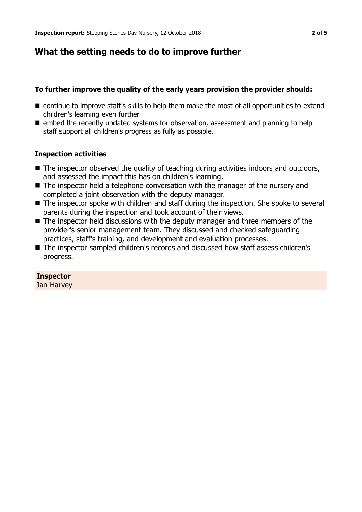# **What the setting needs to do to improve further**

## **To further improve the quality of the early years provision the provider should:**

- $\blacksquare$  continue to improve staff's skills to help them make the most of all opportunities to extend children's learning even further
- $\blacksquare$  embed the recently updated systems for observation, assessment and planning to help staff support all children's progress as fully as possible.

## **Inspection activities**

- $\blacksquare$  The inspector observed the quality of teaching during activities indoors and outdoors, and assessed the impact this has on children's learning.
- $\blacksquare$  The inspector held a telephone conversation with the manager of the nursery and completed a joint observation with the deputy manager.
- $\blacksquare$  The inspector spoke with children and staff during the inspection. She spoke to several parents during the inspection and took account of their views.
- $\blacksquare$  The inspector held discussions with the deputy manager and three members of the provider's senior management team. They discussed and checked safeguarding practices, staff's training, and development and evaluation processes.
- The inspector sampled children's records and discussed how staff assess children's progress.

# **Inspector**

Jan Harvey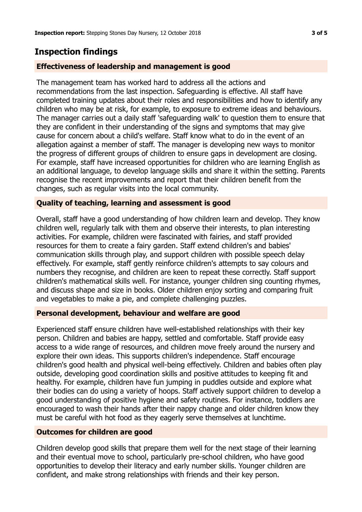# **Inspection findings**

### **Effectiveness of leadership and management is good**

The management team has worked hard to address all the actions and recommendations from the last inspection. Safeguarding is effective. All staff have completed training updates about their roles and responsibilities and how to identify any children who may be at risk, for example, to exposure to extreme ideas and behaviours. The manager carries out a daily staff 'safeguarding walk' to question them to ensure that they are confident in their understanding of the signs and symptoms that may give cause for concern about a child's welfare. Staff know what to do in the event of an allegation against a member of staff. The manager is developing new ways to monitor the progress of different groups of children to ensure gaps in development are closing. For example, staff have increased opportunities for children who are learning English as an additional language, to develop language skills and share it within the setting. Parents recognise the recent improvements and report that their children benefit from the changes, such as regular visits into the local community.

#### **Quality of teaching, learning and assessment is good**

Overall, staff have a good understanding of how children learn and develop. They know children well, regularly talk with them and observe their interests, to plan interesting activities. For example, children were fascinated with fairies, and staff provided resources for them to create a fairy garden. Staff extend children's and babies' communication skills through play, and support children with possible speech delay effectively. For example, staff gently reinforce children's attempts to say colours and numbers they recognise, and children are keen to repeat these correctly. Staff support children's mathematical skills well. For instance, younger children sing counting rhymes, and discuss shape and size in books. Older children enjoy sorting and comparing fruit and vegetables to make a pie, and complete challenging puzzles.

#### **Personal development, behaviour and welfare are good**

Experienced staff ensure children have well-established relationships with their key person. Children and babies are happy, settled and comfortable. Staff provide easy access to a wide range of resources, and children move freely around the nursery and explore their own ideas. This supports children's independence. Staff encourage children's good health and physical well-being effectively. Children and babies often play outside, developing good coordination skills and positive attitudes to keeping fit and healthy. For example, children have fun jumping in puddles outside and explore what their bodies can do using a variety of hoops. Staff actively support children to develop a good understanding of positive hygiene and safety routines. For instance, toddlers are encouraged to wash their hands after their nappy change and older children know they must be careful with hot food as they eagerly serve themselves at lunchtime.

#### **Outcomes for children are good**

Children develop good skills that prepare them well for the next stage of their learning and their eventual move to school, particularly pre-school children, who have good opportunities to develop their literacy and early number skills. Younger children are confident, and make strong relationships with friends and their key person.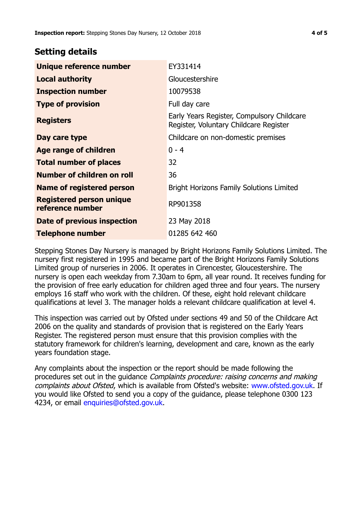# **Setting details**

| Unique reference number                             | EY331414                                                                             |  |  |
|-----------------------------------------------------|--------------------------------------------------------------------------------------|--|--|
| <b>Local authority</b>                              | Gloucestershire                                                                      |  |  |
| <b>Inspection number</b>                            | 10079538                                                                             |  |  |
| <b>Type of provision</b>                            | Full day care                                                                        |  |  |
| <b>Registers</b>                                    | Early Years Register, Compulsory Childcare<br>Register, Voluntary Childcare Register |  |  |
| Day care type                                       | Childcare on non-domestic premises                                                   |  |  |
| <b>Age range of children</b>                        | $0 - 4$                                                                              |  |  |
| <b>Total number of places</b>                       | 32                                                                                   |  |  |
| Number of children on roll                          | 36                                                                                   |  |  |
| Name of registered person                           | <b>Bright Horizons Family Solutions Limited</b>                                      |  |  |
| <b>Registered person unique</b><br>reference number | RP901358                                                                             |  |  |
| <b>Date of previous inspection</b>                  | 23 May 2018                                                                          |  |  |
| <b>Telephone number</b>                             | 01285 642 460                                                                        |  |  |

Stepping Stones Day Nursery is managed by Bright Horizons Family Solutions Limited. The nursery first registered in 1995 and became part of the Bright Horizons Family Solutions Limited group of nurseries in 2006. It operates in Cirencester, Gloucestershire. The nursery is open each weekday from 7.30am to 6pm, all year round. It receives funding for the provision of free early education for children aged three and four years. The nursery employs 16 staff who work with the children. Of these, eight hold relevant childcare qualifications at level 3. The manager holds a relevant childcare qualification at level 4.

This inspection was carried out by Ofsted under sections 49 and 50 of the Childcare Act 2006 on the quality and standards of provision that is registered on the Early Years Register. The registered person must ensure that this provision complies with the statutory framework for children's learning, development and care, known as the early years foundation stage.

Any complaints about the inspection or the report should be made following the procedures set out in the guidance Complaints procedure: raising concerns and making complaints about Ofsted, which is available from Ofsted's website: www.ofsted.gov.uk. If you would like Ofsted to send you a copy of the guidance, please telephone 0300 123 4234, or email [enquiries@ofsted.gov.uk.](mailto:enquiries@ofsted.gov.uk)